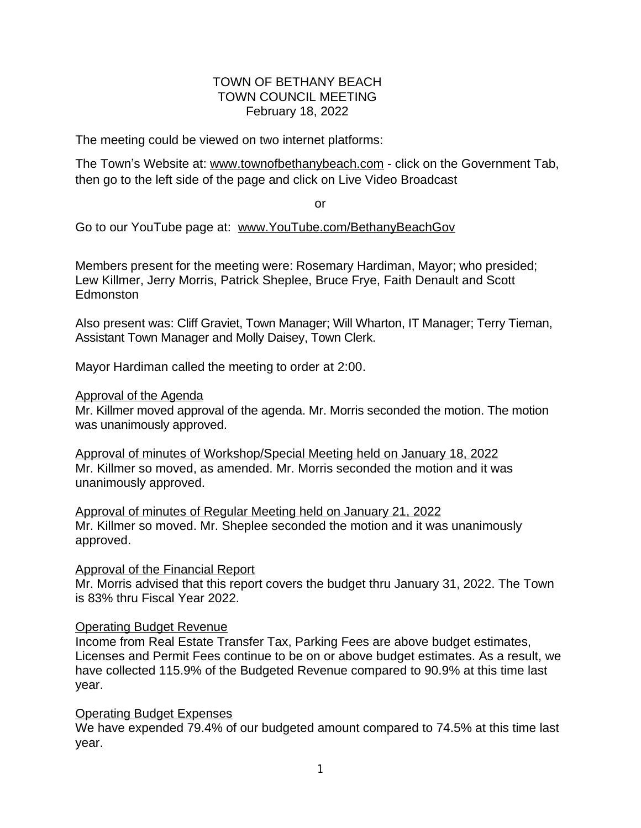## TOWN OF BETHANY BEACH TOWN COUNCIL MEETING February 18, 2022

The meeting could be viewed on two internet platforms:

The Town's Website at: [www.townofbethanybeach.com](http://www.townofbethanybeach.com) - click on the Government Tab, then go to the left side of the page and click on Live Video Broadcast

or

Go to our YouTube page at: [www.YouTube.com/BethanyBeachGov](http://www.YouTube.com/BethanyBeachGov)

Members present for the meeting were: Rosemary Hardiman, Mayor; who presided; Lew Killmer, Jerry Morris, Patrick Sheplee, Bruce Frye, Faith Denault and Scott **Edmonston** 

Also present was: Cliff Graviet, Town Manager; Will Wharton, IT Manager; Terry Tieman, Assistant Town Manager and Molly Daisey, Town Clerk.

Mayor Hardiman called the meeting to order at 2:00.

#### Approval of the Agenda

Mr. Killmer moved approval of the agenda. Mr. Morris seconded the motion. The motion was unanimously approved.

Approval of minutes of Workshop/Special Meeting held on January 18, 2022 Mr. Killmer so moved, as amended. Mr. Morris seconded the motion and it was unanimously approved.

Approval of minutes of Regular Meeting held on January 21, 2022 Mr. Killmer so moved. Mr. Sheplee seconded the motion and it was unanimously approved.

Approval of the Financial Report

Mr. Morris advised that this report covers the budget thru January 31, 2022. The Town is 83% thru Fiscal Year 2022.

#### Operating Budget Revenue

Income from Real Estate Transfer Tax, Parking Fees are above budget estimates, Licenses and Permit Fees continue to be on or above budget estimates. As a result, we have collected 115.9% of the Budgeted Revenue compared to 90.9% at this time last year.

# Operating Budget Expenses

We have expended 79.4% of our budgeted amount compared to 74.5% at this time last year.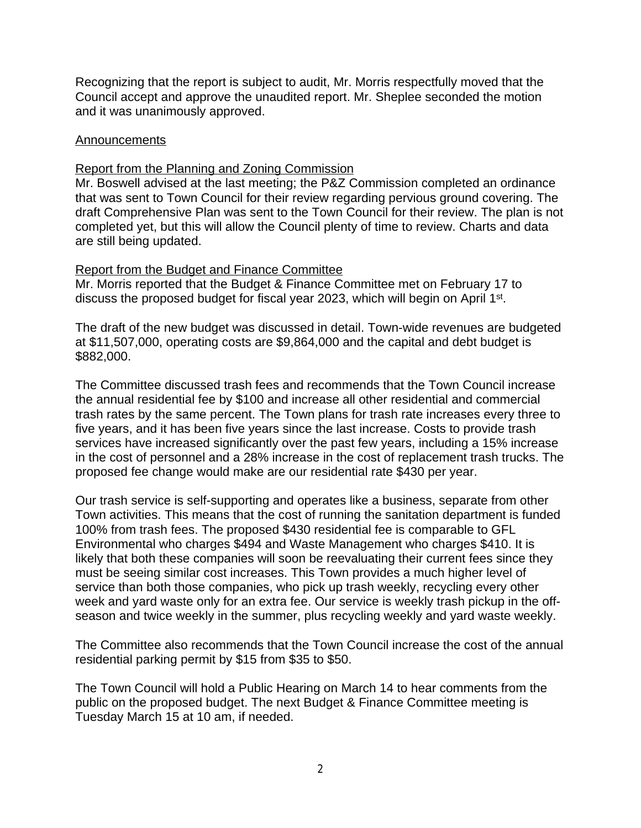Recognizing that the report is subject to audit, Mr. Morris respectfully moved that the Council accept and approve the unaudited report. Mr. Sheplee seconded the motion and it was unanimously approved.

### Announcements

## Report from the Planning and Zoning Commission

Mr. Boswell advised at the last meeting; the P&Z Commission completed an ordinance that was sent to Town Council for their review regarding pervious ground covering. The draft Comprehensive Plan was sent to the Town Council for their review. The plan is not completed yet, but this will allow the Council plenty of time to review. Charts and data are still being updated.

## Report from the Budget and Finance Committee

Mr. Morris reported that the Budget & Finance Committee met on February 17 to discuss the proposed budget for fiscal year 2023, which will begin on April 1<sup>st</sup>.

The draft of the new budget was discussed in detail. Town-wide revenues are budgeted at \$11,507,000, operating costs are \$9,864,000 and the capital and debt budget is \$882,000.

The Committee discussed trash fees and recommends that the Town Council increase the annual residential fee by \$100 and increase all other residential and commercial trash rates by the same percent. The Town plans for trash rate increases every three to five years, and it has been five years since the last increase. Costs to provide trash services have increased significantly over the past few years, including a 15% increase in the cost of personnel and a 28% increase in the cost of replacement trash trucks. The proposed fee change would make are our residential rate \$430 per year.

Our trash service is self-supporting and operates like a business, separate from other Town activities. This means that the cost of running the sanitation department is funded 100% from trash fees. The proposed \$430 residential fee is comparable to GFL Environmental who charges \$494 and Waste Management who charges \$410. It is likely that both these companies will soon be reevaluating their current fees since they must be seeing similar cost increases. This Town provides a much higher level of service than both those companies, who pick up trash weekly, recycling every other week and yard waste only for an extra fee. Our service is weekly trash pickup in the offseason and twice weekly in the summer, plus recycling weekly and yard waste weekly.

The Committee also recommends that the Town Council increase the cost of the annual residential parking permit by \$15 from \$35 to \$50.

The Town Council will hold a Public Hearing on March 14 to hear comments from the public on the proposed budget. The next Budget & Finance Committee meeting is Tuesday March 15 at 10 am, if needed.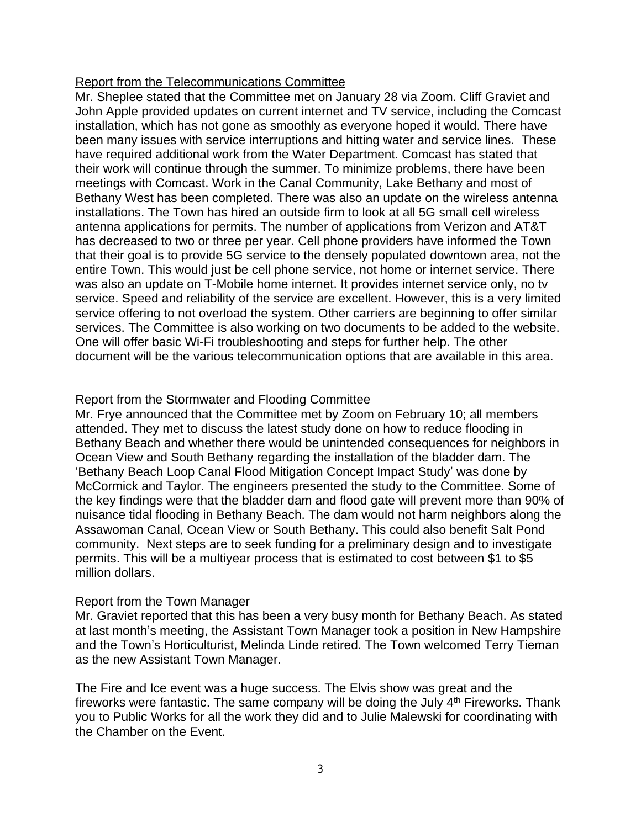## Report from the Telecommunications Committee

Mr. Sheplee stated that the Committee met on January 28 via Zoom. Cliff Graviet and John Apple provided updates on current internet and TV service, including the Comcast installation, which has not gone as smoothly as everyone hoped it would. There have been many issues with service interruptions and hitting water and service lines. These have required additional work from the Water Department. Comcast has stated that their work will continue through the summer. To minimize problems, there have been meetings with Comcast. Work in the Canal Community, Lake Bethany and most of Bethany West has been completed. There was also an update on the wireless antenna installations. The Town has hired an outside firm to look at all 5G small cell wireless antenna applications for permits. The number of applications from Verizon and AT&T has decreased to two or three per year. Cell phone providers have informed the Town that their goal is to provide 5G service to the densely populated downtown area, not the entire Town. This would just be cell phone service, not home or internet service. There was also an update on T-Mobile home internet. It provides internet service only, no tv service. Speed and reliability of the service are excellent. However, this is a very limited service offering to not overload the system. Other carriers are beginning to offer similar services. The Committee is also working on two documents to be added to the website. One will offer basic Wi-Fi troubleshooting and steps for further help. The other document will be the various telecommunication options that are available in this area.

## Report from the Stormwater and Flooding Committee

Mr. Frye announced that the Committee met by Zoom on February 10; all members attended. They met to discuss the latest study done on how to reduce flooding in Bethany Beach and whether there would be unintended consequences for neighbors in Ocean View and South Bethany regarding the installation of the bladder dam. The 'Bethany Beach Loop Canal Flood Mitigation Concept Impact Study' was done by McCormick and Taylor. The engineers presented the study to the Committee. Some of the key findings were that the bladder dam and flood gate will prevent more than 90% of nuisance tidal flooding in Bethany Beach. The dam would not harm neighbors along the Assawoman Canal, Ocean View or South Bethany. This could also benefit Salt Pond community. Next steps are to seek funding for a preliminary design and to investigate permits. This will be a multiyear process that is estimated to cost between \$1 to \$5 million dollars.

#### Report from the Town Manager

Mr. Graviet reported that this has been a very busy month for Bethany Beach. As stated at last month's meeting, the Assistant Town Manager took a position in New Hampshire and the Town's Horticulturist, Melinda Linde retired. The Town welcomed Terry Tieman as the new Assistant Town Manager.

The Fire and Ice event was a huge success. The Elvis show was great and the fireworks were fantastic. The same company will be doing the July  $4<sup>th</sup>$  Fireworks. Thank you to Public Works for all the work they did and to Julie Malewski for coordinating with the Chamber on the Event.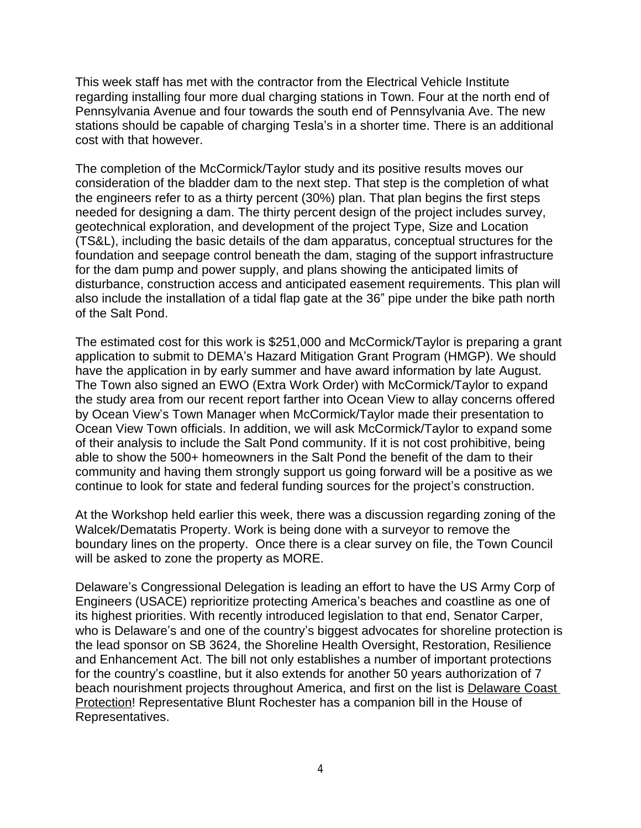This week staff has met with the contractor from the Electrical Vehicle Institute regarding installing four more dual charging stations in Town. Four at the north end of Pennsylvania Avenue and four towards the south end of Pennsylvania Ave. The new stations should be capable of charging Tesla's in a shorter time. There is an additional cost with that however.

The completion of the McCormick/Taylor study and its positive results moves our consideration of the bladder dam to the next step. That step is the completion of what the engineers refer to as a thirty percent (30%) plan. That plan begins the first steps needed for designing a dam. The thirty percent design of the project includes survey, geotechnical exploration, and development of the project Type, Size and Location (TS&L), including the basic details of the dam apparatus, conceptual structures for the foundation and seepage control beneath the dam, staging of the support infrastructure for the dam pump and power supply, and plans showing the anticipated limits of disturbance, construction access and anticipated easement requirements. This plan will also include the installation of a tidal flap gate at the 36" pipe under the bike path north of the Salt Pond.

The estimated cost for this work is \$251,000 and McCormick/Taylor is preparing a grant application to submit to DEMA's Hazard Mitigation Grant Program (HMGP). We should have the application in by early summer and have award information by late August. The Town also signed an EWO (Extra Work Order) with McCormick/Taylor to expand the study area from our recent report farther into Ocean View to allay concerns offered by Ocean View's Town Manager when McCormick/Taylor made their presentation to Ocean View Town officials. In addition, we will ask McCormick/Taylor to expand some of their analysis to include the Salt Pond community. If it is not cost prohibitive, being able to show the 500+ homeowners in the Salt Pond the benefit of the dam to their community and having them strongly support us going forward will be a positive as we continue to look for state and federal funding sources for the project's construction.

At the Workshop held earlier this week, there was a discussion regarding zoning of the Walcek/Dematatis Property. Work is being done with a surveyor to remove the boundary lines on the property. Once there is a clear survey on file, the Town Council will be asked to zone the property as MORE.

Delaware's Congressional Delegation is leading an effort to have the US Army Corp of Engineers (USACE) reprioritize protecting America's beaches and coastline as one of its highest priorities. With recently introduced legislation to that end, Senator Carper, who is Delaware's and one of the country's biggest advocates for shoreline protection is the lead sponsor on SB 3624, the Shoreline Health Oversight, Restoration, Resilience and Enhancement Act. The bill not only establishes a number of important protections for the country's coastline, but it also extends for another 50 years authorization of 7 beach nourishment projects throughout America, and first on the list is Delaware Coast Protection! Representative Blunt Rochester has a companion bill in the House of Representatives.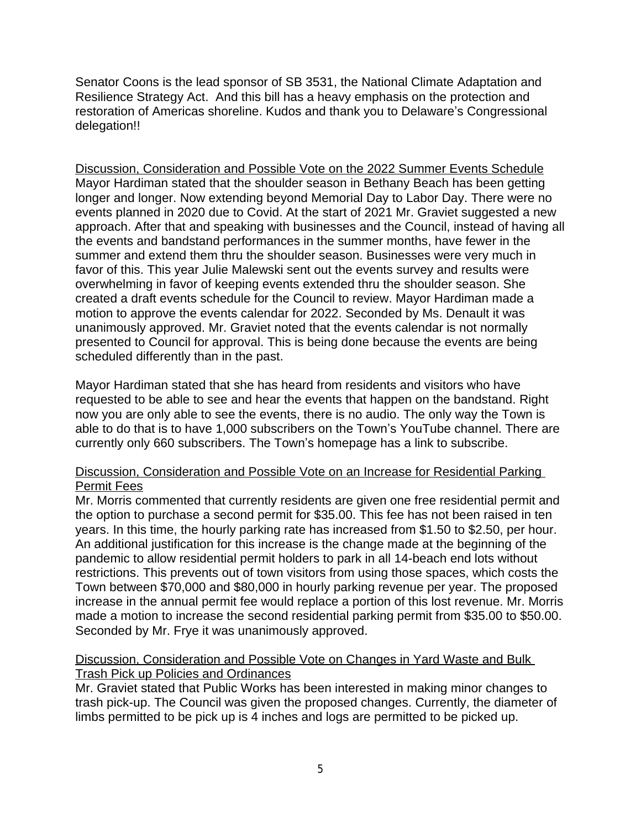Senator Coons is the lead sponsor of SB 3531, the National Climate Adaptation and Resilience Strategy Act. And this bill has a heavy emphasis on the protection and restoration of Americas shoreline. Kudos and thank you to Delaware's Congressional delegation!!

Discussion, Consideration and Possible Vote on the 2022 Summer Events Schedule Mayor Hardiman stated that the shoulder season in Bethany Beach has been getting longer and longer. Now extending beyond Memorial Day to Labor Day. There were no events planned in 2020 due to Covid. At the start of 2021 Mr. Graviet suggested a new approach. After that and speaking with businesses and the Council, instead of having all the events and bandstand performances in the summer months, have fewer in the summer and extend them thru the shoulder season. Businesses were very much in favor of this. This year Julie Malewski sent out the events survey and results were overwhelming in favor of keeping events extended thru the shoulder season. She created a draft events schedule for the Council to review. Mayor Hardiman made a motion to approve the events calendar for 2022. Seconded by Ms. Denault it was unanimously approved. Mr. Graviet noted that the events calendar is not normally presented to Council for approval. This is being done because the events are being scheduled differently than in the past.

Mayor Hardiman stated that she has heard from residents and visitors who have requested to be able to see and hear the events that happen on the bandstand. Right now you are only able to see the events, there is no audio. The only way the Town is able to do that is to have 1,000 subscribers on the Town's YouTube channel. There are currently only 660 subscribers. The Town's homepage has a link to subscribe.

# Discussion, Consideration and Possible Vote on an Increase for Residential Parking Permit Fees

Mr. Morris commented that currently residents are given one free residential permit and the option to purchase a second permit for \$35.00. This fee has not been raised in ten years. In this time, the hourly parking rate has increased from \$1.50 to \$2.50, per hour. An additional justification for this increase is the change made at the beginning of the pandemic to allow residential permit holders to park in all 14-beach end lots without restrictions. This prevents out of town visitors from using those spaces, which costs the Town between \$70,000 and \$80,000 in hourly parking revenue per year. The proposed increase in the annual permit fee would replace a portion of this lost revenue. Mr. Morris made a motion to increase the second residential parking permit from \$35.00 to \$50.00. Seconded by Mr. Frye it was unanimously approved.

# Discussion, Consideration and Possible Vote on Changes in Yard Waste and Bulk Trash Pick up Policies and Ordinances

Mr. Graviet stated that Public Works has been interested in making minor changes to trash pick-up. The Council was given the proposed changes. Currently, the diameter of limbs permitted to be pick up is 4 inches and logs are permitted to be picked up.